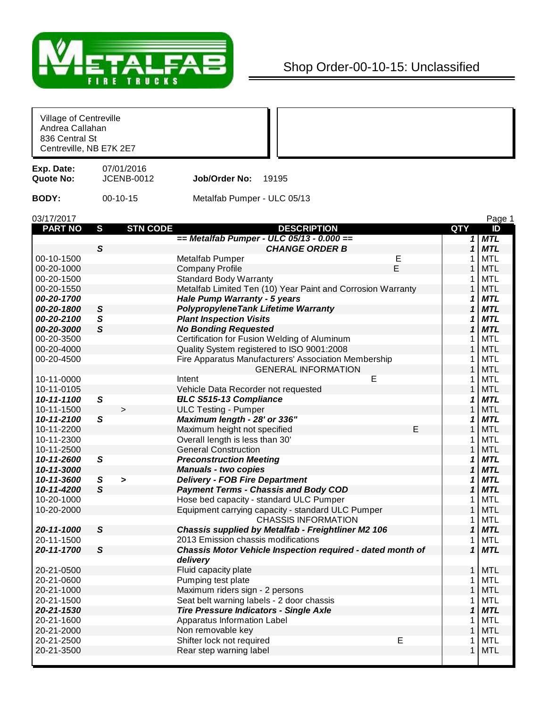

## Shop Order-00-10-15: Unclassified

| Village of Centreville<br>Andrea Callahan<br>836 Central St<br>Centreville, NB E7K 2E7 |                                 |                                                             |              |                              |
|----------------------------------------------------------------------------------------|---------------------------------|-------------------------------------------------------------|--------------|------------------------------|
| Exp. Date:<br>Quote No:                                                                | 07/01/2016<br><b>JCENB-0012</b> | Job/Order No:<br>19195                                      |              |                              |
| <b>BODY:</b>                                                                           | $00-10-15$                      | Metalfab Pumper - ULC 05/13                                 |              |                              |
| 03/17/2017                                                                             |                                 |                                                             |              | Page 1                       |
| <b>PART NO</b>                                                                         | <b>STN CODE</b><br>S            | <b>DESCRIPTION</b>                                          | QTY          | ID                           |
|                                                                                        |                                 | $=$ Metalfab Pumper - ULC 05/13 - 0.000 $=$                 |              | $1$ MTL                      |
|                                                                                        | S                               | <b>CHANGE ORDER B</b>                                       |              | $\mathbf{1}$<br><b>MTL</b>   |
| 00-10-1500                                                                             |                                 | Metalfab Pumper<br>Ε                                        |              | <b>MTL</b>                   |
| 00-20-1000                                                                             |                                 | E<br><b>Company Profile</b>                                 |              | <b>MTL</b>                   |
| 00-20-1500                                                                             |                                 | <b>Standard Body Warranty</b>                               | 1            | <b>MTL</b>                   |
| 00-20-1550                                                                             |                                 | Metalfab Limited Ten (10) Year Paint and Corrosion Warranty | 1            | <b>MTL</b>                   |
| 00-20-1700                                                                             |                                 | <b>Hale Pump Warranty - 5 years</b>                         |              | <b>MTL</b><br>1              |
| 00-20-1800                                                                             | $\mathsf{s}$                    | <b>PolypropyleneTank Lifetime Warranty</b>                  |              | <b>MTL</b><br>$\mathbf{1}$   |
| 00-20-2100                                                                             | S                               | <b>Plant Inspection Visits</b>                              | 1            | <b>MTL</b>                   |
| 00-20-3000                                                                             | $\mathsf{s}$                    | <b>No Bonding Requested</b>                                 | 1            | <b>MTL</b>                   |
| 00-20-3500                                                                             |                                 | Certification for Fusion Welding of Aluminum                |              | <b>MTL</b>                   |
| 00-20-4000                                                                             |                                 | Quality System registered to ISO 9001:2008                  |              | <b>MTL</b>                   |
| 00-20-4500                                                                             |                                 | Fire Apparatus Manufacturers' Association Membership        | 1            | <b>MTL</b>                   |
|                                                                                        |                                 | <b>GENERAL INFORMATION</b>                                  | 1            | <b>MTL</b>                   |
| 10-11-0000                                                                             |                                 | Е<br>Intent                                                 | 1            | <b>MTL</b>                   |
| 10-11-0105                                                                             |                                 | Vehicle Data Recorder not requested                         | 1            | <b>MTL</b>                   |
| 10-11-1100                                                                             | $\mathsf S$                     | <b>ELC S515-13 Compliance</b>                               | 1            | <b>MTL</b>                   |
| 10-11-1500                                                                             | $\geq$                          | <b>ULC Testing - Pumper</b>                                 | 1            | <b>MTL</b>                   |
| 10-11-2100                                                                             | S                               | Maximum length - 28' or 336"                                | 1            | <b>MTL</b>                   |
| 10-11-2200                                                                             |                                 | Maximum height not specified                                | Е            | <b>MTL</b>                   |
| 10-11-2300                                                                             |                                 | Overall length is less than 30'                             | 1            | <b>MTL</b>                   |
| 10-11-2500                                                                             |                                 | <b>General Construction</b>                                 | 1            | <b>MTL</b>                   |
| 10-11-2600                                                                             | ${\mathcal S}$                  | <b>Preconstruction Meeting</b>                              |              | <b>MTL</b><br>1              |
| 10-11-3000                                                                             |                                 |                                                             |              | <b>MTL</b><br>$\mathbf{1}$   |
|                                                                                        |                                 | <b>Manuals - two copies</b>                                 |              |                              |
| 10-11-3600                                                                             | S<br>$\geq$                     | <b>Delivery - FOB Fire Department</b>                       | 1            | <b>MTL</b>                   |
| 10-11-4200                                                                             | $\mathsf{s}$                    | <b>Payment Terms - Chassis and Body COD</b>                 | 1            | <b>MTL</b>                   |
| 10-20-1000                                                                             |                                 | Hose bed capacity - standard ULC Pumper                     |              | MTL                          |
| 10-20-2000                                                                             |                                 | Equipment carrying capacity - standard ULC Pumper           | 1            | <b>MTL</b>                   |
|                                                                                        |                                 | <b>CHASSIS INFORMATION</b>                                  | 1            | <b>MTL</b>                   |
| 20-11-1000                                                                             | S                               | Chassis supplied by Metalfab - Freightliner M2 106          |              | 1<br><b>MTL</b>              |
| 20-11-1500                                                                             |                                 | 2013 Emission chassis modifications                         | 1            | <b>MTL</b>                   |
| 20-11-1700                                                                             | $\mathsf{s}$                    | Chassis Motor Vehicle Inspection required - dated month of  |              | <b>MTL</b><br>1              |
|                                                                                        |                                 | delivery                                                    |              |                              |
| 20-21-0500                                                                             |                                 | Fluid capacity plate                                        |              | <b>MTL</b><br>1 <sup>1</sup> |
| 20-21-0600                                                                             |                                 | Pumping test plate                                          |              | <b>MTL</b>                   |
| 20-21-1000                                                                             |                                 | Maximum riders sign - 2 persons                             |              | <b>MTL</b>                   |
| 20-21-1500                                                                             |                                 | Seat belt warning labels - 2 door chassis                   | 1            | <b>MTL</b>                   |
| 20-21-1530                                                                             |                                 | <b>Tire Pressure Indicators - Single Axle</b>               |              | $\mathbf{1}$<br><b>MTL</b>   |
| 20-21-1600                                                                             |                                 | Apparatus Information Label                                 | 1            | <b>MTL</b>                   |
| 20-21-2000                                                                             |                                 | Non removable key                                           | 1            | <b>MTL</b>                   |
| 20-21-2500                                                                             |                                 | Shifter lock not required<br>Е                              | 1            | <b>MTL</b>                   |
| 20-21-3500                                                                             |                                 | Rear step warning label                                     | $\mathbf{1}$ | <b>MTL</b>                   |
|                                                                                        |                                 |                                                             |              |                              |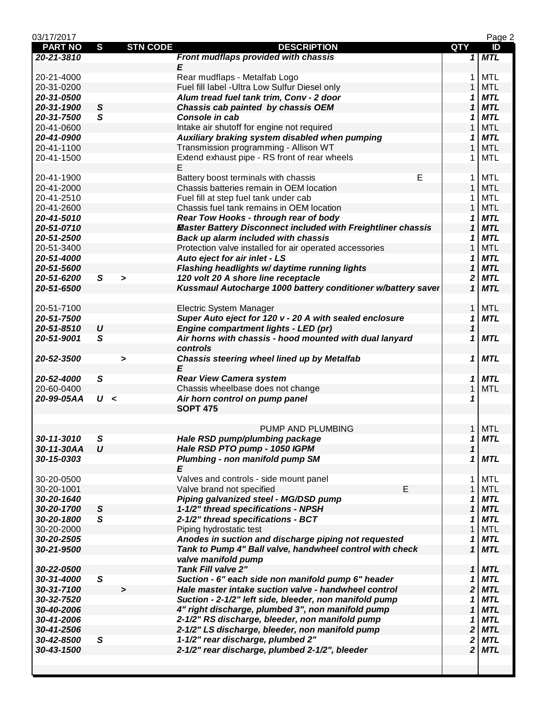| 03/17/2017     |                |                 |                                                                     |                            | Page 2     |
|----------------|----------------|-----------------|---------------------------------------------------------------------|----------------------------|------------|
| <b>PART NO</b> | S              | <b>STN CODE</b> | <b>DESCRIPTION</b>                                                  | QTY                        | ID         |
| 20-21-3810     |                |                 | Front mudflaps provided with chassis                                |                            | $1$ MTL    |
|                |                |                 | E                                                                   |                            |            |
| 20-21-4000     |                |                 | Rear mudflaps - Metalfab Logo                                       | 1                          | <b>MTL</b> |
| 20-31-0200     |                |                 | Fuel fill label - Ultra Low Sulfur Diesel only                      | $\mathbf{1}$               | <b>MTL</b> |
| 20-31-0500     |                |                 | Alum tread fuel tank trim, Conv - 2 door                            | 1                          | <b>MTL</b> |
| 20-31-1900     | ${\mathcal S}$ |                 | Chassis cab painted by chassis OEM                                  | $\mathbf{1}$               | <b>MTL</b> |
| 20-31-7500     | $\mathbf{s}$   |                 | Console in cab                                                      | 1                          | <b>MTL</b> |
| 20-41-0600     |                |                 | Intake air shutoff for engine not required                          | $\mathbf{1}$               | <b>MTL</b> |
| 20-41-0900     |                |                 | Auxiliary braking system disabled when pumping                      | 1                          | <b>MTL</b> |
| 20-41-1100     |                |                 | Transmission programming - Allison WT                               | $\mathbf{1}$               | <b>MTL</b> |
| 20-41-1500     |                |                 | Extend exhaust pipe - RS front of rear wheels                       | 1                          | MTL        |
|                |                |                 | Е                                                                   |                            |            |
| 20-41-1900     |                |                 | Е<br>Battery boost terminals with chassis                           | 1                          | MTL        |
| 20-41-2000     |                |                 | Chassis batteries remain in OEM location                            | $\mathbf{1}$               | <b>MTL</b> |
| 20-41-2510     |                |                 | Fuel fill at step fuel tank under cab                               | 1                          | MTL        |
| 20-41-2600     |                |                 | Chassis fuel tank remains in OEM location                           | $\mathbf{1}$               | <b>MTL</b> |
| 20-41-5010     |                |                 | Rear Tow Hooks - through rear of body                               | 1                          | <b>MTL</b> |
| 20-51-0710     |                |                 | <b>Master Battery Disconnect included with Freightliner chassis</b> | 1                          | <b>MTL</b> |
| 20-51-2500     |                |                 | Back up alarm included with chassis                                 | 1                          | <b>MTL</b> |
| 20-51-3400     |                |                 | Protection valve installed for air operated accessories             | 1                          | <b>MTL</b> |
| 20-51-4000     |                |                 | Auto eject for air inlet - LS                                       | 1                          | <b>MTL</b> |
| 20-51-5600     |                |                 | Flashing headlights w/daytime running lights                        | $\boldsymbol{\mathcal{L}}$ | <b>MTL</b> |
| 20-51-6200     | $\mathsf{s}$   | $\geq$          | 120 volt 20 A shore line receptacle                                 | 2                          | <b>MTL</b> |
| 20-51-6500     |                |                 | Kussmaul Autocharge 1000 battery conditioner w/battery saver        | $\mathbf{1}$               | <b>MTL</b> |
|                |                |                 |                                                                     |                            |            |
| 20-51-7100     |                |                 | Electric System Manager                                             | $\mathbf{1}$               | <b>MTL</b> |
| 20-51-7500     |                |                 | Super Auto eject for 120 v - 20 A with sealed enclosure             | 1                          | <b>MTL</b> |
| 20-51-8510     | U              |                 | Engine compartment lights - LED (pr)                                | 1                          |            |
| 20-51-9001     | $\mathbf{s}$   |                 | Air horns with chassis - hood mounted with dual lanyard             | 1                          | <b>MTL</b> |
|                |                |                 | controls                                                            |                            |            |
| 20-52-3500     |                | >               | Chassis steering wheel lined up by Metalfab                         | 1                          | <b>MTL</b> |
|                |                |                 | E                                                                   |                            |            |
| 20-52-4000     | S              |                 | <b>Rear View Camera system</b>                                      | 1                          | <b>MTL</b> |
| 20-60-0400     |                |                 | Chassis wheelbase does not change                                   | $\mathbf{1}$               | <b>MTL</b> |
| 20-99-05AA     | U <            |                 | Air horn control on pump panel                                      | 1                          |            |
|                |                |                 | <b>SOPT 475</b>                                                     |                            |            |
|                |                |                 |                                                                     |                            |            |
|                |                |                 | PUMP AND PLUMBING                                                   |                            | 1 MTL      |
| 30-11-3010     | ${\mathsf S}$  |                 | Hale RSD pump/plumbing package                                      | 1                          | <b>MTL</b> |
| 30-11-30AA     | U              |                 | Hale RSD PTO pump - 1050 IGPM                                       | $\boldsymbol{\mathcal{L}}$ |            |
| 30-15-0303     |                |                 | Plumbing - non manifold pump SM                                     | 1                          | <b>MTL</b> |
|                |                |                 | E                                                                   |                            |            |
| 30-20-0500     |                |                 | Valves and controls - side mount panel                              | 1                          | <b>MTL</b> |
| 30-20-1001     |                |                 | Valve brand not specified<br>E                                      | $\mathbf{1}$               | <b>MTL</b> |
| 30-20-1640     |                |                 | Piping galvanized steel - MG/DSD pump                               | 1                          | <b>MTL</b> |
| 30-20-1700     | ${\mathsf S}$  |                 | 1-1/2" thread specifications - NPSH                                 | $\boldsymbol{\mathcal{L}}$ | <b>MTL</b> |
| 30-20-1800     | $\mathsf{s}$   |                 | 2-1/2" thread specifications - BCT                                  | 1                          | <b>MTL</b> |
| 30-20-2000     |                |                 | Piping hydrostatic test                                             | $\mathbf{1}$               | <b>MTL</b> |
| 30-20-2505     |                |                 | Anodes in suction and discharge piping not requested                | 1                          | <b>MTL</b> |
| 30-21-9500     |                |                 | Tank to Pump 4" Ball valve, handwheel control with check            | $\mathbf{1}$               | <b>MTL</b> |
|                |                |                 | valve manifold pump                                                 |                            |            |
| 30-22-0500     |                |                 | <b>Tank Fill valve 2"</b>                                           | 1                          | <b>MTL</b> |
| 30-31-4000     | S              |                 | Suction - 6" each side non manifold pump 6" header                  | 1                          | <b>MTL</b> |
| 30-31-7100     |                | $\geq$          | Hale master intake suction valve - handwheel control                | $\overline{\mathbf{2}}$    | <b>MTL</b> |
| 30-32-7520     |                |                 | Suction - 2-1/2" left side, bleeder, non manifold pump              | 1                          | <b>MTL</b> |
| 30-40-2006     |                |                 | 4" right discharge, plumbed 3", non manifold pump                   | $\boldsymbol{\mathcal{L}}$ | <b>MTL</b> |
| 30-41-2006     |                |                 | 2-1/2" RS discharge, bleeder, non manifold pump                     | 1                          | <b>MTL</b> |
| 30-41-2506     |                |                 | 2-1/2" LS discharge, bleeder, non manifold pump                     | $\mathbf{2}$               | <b>MTL</b> |
| 30-42-8500     | S              |                 | 1-1/2" rear discharge, plumbed 2"                                   | $\boldsymbol{2}$           | <b>MTL</b> |
| 30-43-1500     |                |                 | 2-1/2" rear discharge, plumbed 2-1/2", bleeder                      | $\overline{2}$             | <b>MTL</b> |
|                |                |                 |                                                                     |                            |            |
|                |                |                 |                                                                     |                            |            |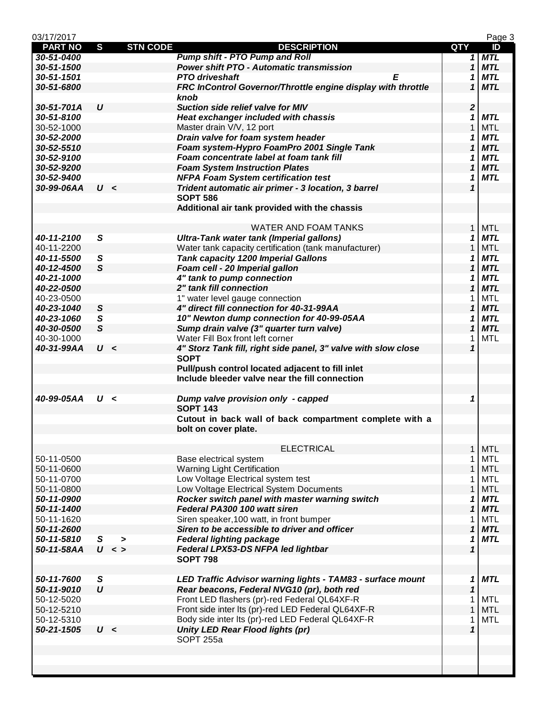| 03/17/2017     |                  |                 |                                                                |                  | Page 3     |
|----------------|------------------|-----------------|----------------------------------------------------------------|------------------|------------|
| <b>PART NO</b> | $\mathbf{s}$     | <b>STN CODE</b> | <b>DESCRIPTION</b>                                             | <b>QTY</b>       | ID         |
| 30-51-0400     |                  |                 | <b>Pump shift - PTO Pump and Roll</b>                          |                  | $1$ MTL    |
| 30-51-1500     |                  |                 | <b>Power shift PTO - Automatic transmission</b>                | $\mathbf{1}$     | <b>MTL</b> |
| 30-51-1501     |                  |                 | <b>PTO</b> driveshaft<br>Е                                     | 1                | <b>MTL</b> |
| 30-51-6800     |                  |                 | FRC InControl Governor/Throttle engine display with throttle   | 1                | <b>MTL</b> |
|                |                  |                 | knob                                                           |                  |            |
| 30-51-701A     | $\boldsymbol{U}$ |                 | Suction side relief valve for MIV                              | $\boldsymbol{2}$ |            |
| 30-51-8100     |                  |                 | Heat exchanger included with chassis                           | 1                | <b>MTL</b> |
| 30-52-1000     |                  |                 | Master drain V/V, 12 port                                      | $\mathbf{1}$     | <b>MTL</b> |
| 30-52-2000     |                  |                 | Drain valve for foam system header                             | 1                | <b>MTL</b> |
| 30-52-5510     |                  |                 | Foam system-Hypro FoamPro 2001 Single Tank                     | $\mathbf{1}$     | <b>MTL</b> |
| 30-52-9100     |                  |                 | Foam concentrate label at foam tank fill                       | 1                | <b>MTL</b> |
| 30-52-9200     |                  |                 | <b>Foam System Instruction Plates</b>                          | 1                | <b>MTL</b> |
| 30-52-9400     |                  |                 | <b>NFPA Foam System certification test</b>                     | 1                | <b>MTL</b> |
| 30-99-06AA     | U <              |                 | Trident automatic air primer - 3 location, 3 barrel            | $\mathbf{1}$     |            |
|                |                  |                 | <b>SOPT 586</b>                                                |                  |            |
|                |                  |                 | Additional air tank provided with the chassis                  |                  |            |
|                |                  |                 |                                                                |                  |            |
|                |                  |                 | <b>WATER AND FOAM TANKS</b>                                    | $\mathbf{1}$     | <b>MTL</b> |
| 40-11-2100     | S                |                 | Ultra-Tank water tank (Imperial gallons)                       | 1                | <b>MTL</b> |
| 40-11-2200     |                  |                 | Water tank capacity certification (tank manufacturer)          | $\mathbf{1}$     | <b>MTL</b> |
| 40-11-5500     | S                |                 | <b>Tank capacity 1200 Imperial Gallons</b>                     | 1                | <b>MTL</b> |
| 40-12-4500     | $\mathsf{s}$     |                 | Foam cell - 20 Imperial gallon                                 | $\mathbf 1$      | <b>MTL</b> |
| 40-21-1000     |                  |                 | 4" tank to pump connection                                     | 1                | <b>MTL</b> |
| 40-22-0500     |                  |                 | 2" tank fill connection                                        | 1                | <b>MTL</b> |
| 40-23-0500     |                  |                 | 1" water level gauge connection                                | 1                | <b>MTL</b> |
| 40-23-1040     | $\mathsf{s}$     |                 | 4" direct fill connection for 40-31-99AA                       | $\mathbf{1}$     | <b>MTL</b> |
| 40-23-1060     | $\mathbf{s}$     |                 | 10" Newton dump connection for 40-99-05AA                      | 1                | <b>MTL</b> |
| 40-30-0500     | $\mathsf{s}$     |                 | Sump drain valve (3" quarter turn valve)                       | 1                | <b>MTL</b> |
| 40-30-1000     |                  |                 | Water Fill Box front left corner                               | 1                | <b>MTL</b> |
| 40-31-99AA     | U <              |                 | 4" Storz Tank fill, right side panel, 3" valve with slow close | $\mathbf{1}$     |            |
|                |                  |                 | <b>SOPT</b>                                                    |                  |            |
|                |                  |                 | Pull/push control located adjacent to fill inlet               |                  |            |
|                |                  |                 | Include bleeder valve near the fill connection                 |                  |            |
|                |                  |                 |                                                                |                  |            |
| 40-99-05AA     | U <              |                 | Dump valve provision only - capped                             | 1                |            |
|                |                  |                 | <b>SOPT 143</b>                                                |                  |            |
|                |                  |                 | Cutout in back wall of back compartment complete with a        |                  |            |
|                |                  |                 | bolt on cover plate.                                           |                  |            |
|                |                  |                 |                                                                |                  |            |
|                |                  |                 | <b>ELECTRICAL</b>                                              | $\mathbf{1}$     | <b>MTL</b> |
| 50-11-0500     |                  |                 | Base electrical system                                         | 1                | MTL        |
| 50-11-0600     |                  |                 | <b>Warning Light Certification</b>                             | $\mathbf{1}$     | <b>MTL</b> |
| 50-11-0700     |                  |                 | Low Voltage Electrical system test                             | 1                | <b>MTL</b> |
| 50-11-0800     |                  |                 | Low Voltage Electrical System Documents                        | $\mathbf{1}$     | <b>MTL</b> |
| 50-11-0900     |                  |                 | Rocker switch panel with master warning switch                 | 1                | <b>MTL</b> |
| 50-11-1400     |                  |                 | Federal PA300 100 watt siren                                   | $\mathbf{1}$     | <b>MTL</b> |
| 50-11-1620     |                  |                 | Siren speaker, 100 watt, in front bumper                       | 1                | MTL        |
| 50-11-2600     |                  |                 | Siren to be accessible to driver and officer                   | 1                | <b>MTL</b> |
| 50-11-5810     | $\mathsf{s}$     | $\geq$          | <b>Federal lighting package</b>                                | 1                | <b>MTL</b> |
| 50-11-58AA     |                  | U <             | Federal LPX53-DS NFPA led lightbar                             | $\mathbf{1}$     |            |
|                |                  |                 | <b>SOPT 798</b>                                                |                  |            |
|                |                  |                 |                                                                |                  |            |
| 50-11-7600     | S                |                 | LED Traffic Advisor warning lights - TAM83 - surface mount     | 1                | <b>MTL</b> |
| 50-11-9010     | $\boldsymbol{U}$ |                 | Rear beacons, Federal NVG10 (pr), both red                     | $\mathbf 1$      |            |
| 50-12-5020     |                  |                 | Front LED flashers (pr)-red Federal QL64XF-R                   | 1                | MTL        |
| 50-12-5210     |                  |                 | Front side inter Its (pr)-red LED Federal QL64XF-R             | $\mathbf{1}$     | <b>MTL</b> |
| 50-12-5310     |                  |                 | Body side inter Its (pr)-red LED Federal QL64XF-R              | 1                | MTL        |
|                | U <              |                 | <b>Unity LED Rear Flood lights (pr)</b>                        | $\mathbf{1}$     |            |
| 50-21-1505     |                  |                 | SOPT 255a                                                      |                  |            |
|                |                  |                 |                                                                |                  |            |
|                |                  |                 |                                                                |                  |            |
|                |                  |                 |                                                                |                  |            |
|                |                  |                 |                                                                |                  |            |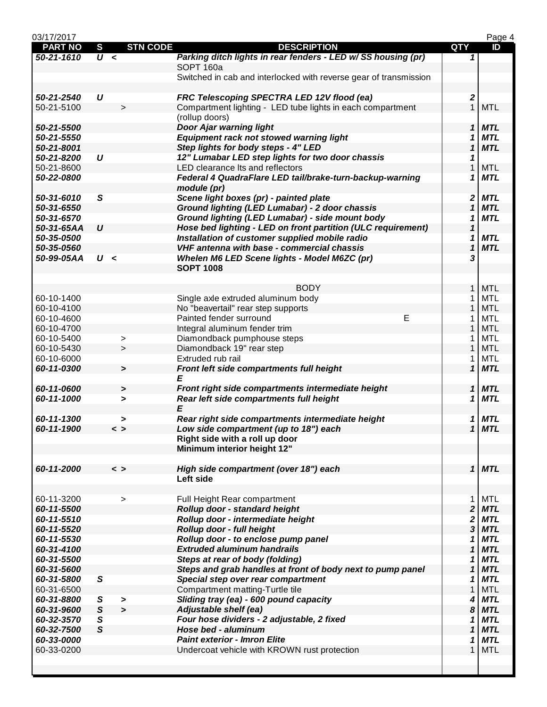| 03/17/2017     |                  |                       |                 |                                                                   |                            | Page 4     |
|----------------|------------------|-----------------------|-----------------|-------------------------------------------------------------------|----------------------------|------------|
| <b>PART NO</b> | $\mathbf{s}$     |                       | <b>STN CODE</b> | <b>DESCRIPTION</b>                                                | <b>QTY</b>                 | ID         |
| 50-21-1610     | $\overline{U}$ < |                       |                 | Parking ditch lights in rear fenders - LED w/ SS housing (pr)     | 1                          |            |
|                |                  |                       |                 | SOPT <sub>160a</sub>                                              |                            |            |
|                |                  |                       |                 | Switched in cab and interlocked with reverse gear of transmission |                            |            |
| 50-21-2540     | U                |                       |                 | FRC Telescoping SPECTRA LED 12V flood (ea)                        | 2                          |            |
| 50-21-5100     |                  | $\,>$                 |                 | Compartment lighting - LED tube lights in each compartment        | $\mathbf{1}$               | <b>MTL</b> |
|                |                  |                       |                 | (rollup doors)                                                    |                            |            |
| 50-21-5500     |                  |                       |                 | Door Ajar warning light                                           | $\mathbf{1}$               | <b>MTL</b> |
| 50-21-5550     |                  |                       |                 | Equipment rack not stowed warning light                           | 1                          | <b>MTL</b> |
| 50-21-8001     |                  |                       |                 | Step lights for body steps - 4" LED                               | 1                          | <b>MTL</b> |
| 50-21-8200     | $\boldsymbol{U}$ |                       |                 | 12" Lumabar LED step lights for two door chassis                  | 1                          |            |
| 50-21-8600     |                  |                       |                 | LED clearance Its and reflectors                                  | 1                          | <b>MTL</b> |
| 50-22-0800     |                  |                       |                 | Federal 4 QuadraFlare LED tail/brake-turn-backup-warning          | 1                          | <b>MTL</b> |
|                |                  |                       |                 | module (pr)                                                       |                            |            |
| 50-31-6010     | $\mathsf{s}$     |                       |                 | Scene light boxes (pr) - painted plate                            | 2                          | <b>MTL</b> |
| 50-31-6550     |                  |                       |                 | Ground lighting (LED Lumabar) - 2 door chassis                    | $\mathbf 1$                | <b>MTL</b> |
| 50-31-6570     |                  |                       |                 | Ground lighting (LED Lumabar) - side mount body                   | 1                          | <b>MTL</b> |
| 50-31-65AA     | $\boldsymbol{U}$ |                       |                 | Hose bed lighting - LED on front partition (ULC requirement)      | $\mathbf 1$                |            |
| 50-35-0500     |                  |                       |                 | Installation of customer supplied mobile radio                    | 1                          | <b>MTL</b> |
| 50-35-0560     |                  |                       |                 | VHF antenna with base - commercial chassis                        | 1                          | <b>MTL</b> |
|                |                  |                       |                 |                                                                   |                            |            |
| 50-99-05AA     | U <              |                       |                 | Whelen M6 LED Scene lights - Model M6ZC (pr)                      | 3                          |            |
|                |                  |                       |                 | <b>SOPT 1008</b>                                                  |                            |            |
|                |                  |                       |                 | <b>BODY</b>                                                       | $\mathbf{1}$               | <b>MTL</b> |
|                |                  |                       |                 |                                                                   |                            | <b>MTL</b> |
| 60-10-1400     |                  |                       |                 | Single axle extruded aluminum body                                | 1                          |            |
| 60-10-4100     |                  |                       |                 | No "beavertail" rear step supports                                | $\mathbf{1}$               | <b>MTL</b> |
| 60-10-4600     |                  |                       |                 | E<br>Painted fender surround                                      | 1                          | <b>MTL</b> |
| 60-10-4700     |                  |                       |                 | Integral aluminum fender trim                                     | 1                          | <b>MTL</b> |
| 60-10-5400     |                  | >                     |                 | Diamondback pumphouse steps                                       | 1                          | <b>MTL</b> |
| 60-10-5430     |                  | >                     |                 | Diamondback 19" rear step                                         | 1                          | <b>MTL</b> |
| 60-10-6000     |                  |                       |                 | Extruded rub rail                                                 | 1                          | MTL        |
| 60-11-0300     |                  | $\blacktriangleright$ |                 | Front left side compartments full height                          | 1                          | <b>MTL</b> |
|                |                  |                       |                 | E                                                                 |                            |            |
| 60-11-0600     |                  | $\blacktriangleright$ |                 | Front right side compartments intermediate height                 | 1                          | <b>MTL</b> |
| 60-11-1000     |                  | $\geq$                |                 | Rear left side compartments full height                           | 1                          | <b>MTL</b> |
|                |                  |                       |                 | Е                                                                 |                            |            |
| 60-11-1300     |                  | >                     |                 | Rear right side compartments intermediate height                  | 1                          | <b>MTL</b> |
| 60-11-1900     |                  | $\langle$ $\rangle$   |                 | Low side compartment (up to 18") each                             | $\mathbf{1}$               | <b>MTL</b> |
|                |                  |                       |                 | Right side with a roll up door                                    |                            |            |
|                |                  |                       |                 | Minimum interior height 12"                                       |                            |            |
|                |                  |                       |                 |                                                                   |                            |            |
| 60-11-2000     |                  | $\langle$ $\rangle$   |                 | High side compartment (over 18") each                             |                            | $1$ MTL    |
|                |                  |                       |                 | Left side                                                         |                            |            |
|                |                  |                       |                 |                                                                   |                            |            |
| 60-11-3200     |                  | $\, >$                |                 | Full Height Rear compartment                                      | 1                          | <b>MTL</b> |
| 60-11-5500     |                  |                       |                 | Rollup door - standard height                                     | $\overline{\mathbf{2}}$    | <b>MTL</b> |
| 60-11-5510     |                  |                       |                 | Rollup door - intermediate height                                 | $\boldsymbol{2}$           | <b>MTL</b> |
| 60-11-5520     |                  |                       |                 | Rollup door - full height                                         | 3                          | <b>MTL</b> |
| 60-11-5530     |                  |                       |                 | Rollup door - to enclose pump panel                               | 1                          | <b>MTL</b> |
| 60-31-4100     |                  |                       |                 | <b>Extruded aluminum handrails</b>                                | $\boldsymbol{\mathcal{L}}$ | <b>MTL</b> |
| 60-31-5500     |                  |                       |                 | Steps at rear of body (folding)                                   | 1                          | <b>MTL</b> |
| 60-31-5600     |                  |                       |                 | Steps and grab handles at front of body next to pump panel        | 1                          | <b>MTL</b> |
| 60-31-5800     | S                |                       |                 | Special step over rear compartment                                | 1                          | <b>MTL</b> |
| 60-31-6500     |                  |                       |                 | Compartment matting-Turtle tile                                   | $\mathbf{1}$               | <b>MTL</b> |
| 60-31-8800     | S                | >                     |                 | Sliding tray (ea) - 600 pound capacity                            | 4                          | <b>MTL</b> |
| 60-31-9600     | ${\mathcal S}$   | $\geq$                |                 | Adjustable shelf (ea)                                             | 8                          | <b>MTL</b> |
| 60-32-3570     | $\mathbf{s}$     |                       |                 | Four hose dividers - 2 adjustable, 2 fixed                        | 1                          | <b>MTL</b> |
| 60-32-7500     | $\mathsf{s}$     |                       |                 | Hose bed - aluminum                                               | 1                          | <b>MTL</b> |
| 60-33-0000     |                  |                       |                 | <b>Paint exterior - Imron Elite</b>                               | 1                          | <b>MTL</b> |
| 60-33-0200     |                  |                       |                 | Undercoat vehicle with KROWN rust protection                      | 1                          | <b>MTL</b> |
|                |                  |                       |                 |                                                                   |                            |            |
|                |                  |                       |                 |                                                                   |                            |            |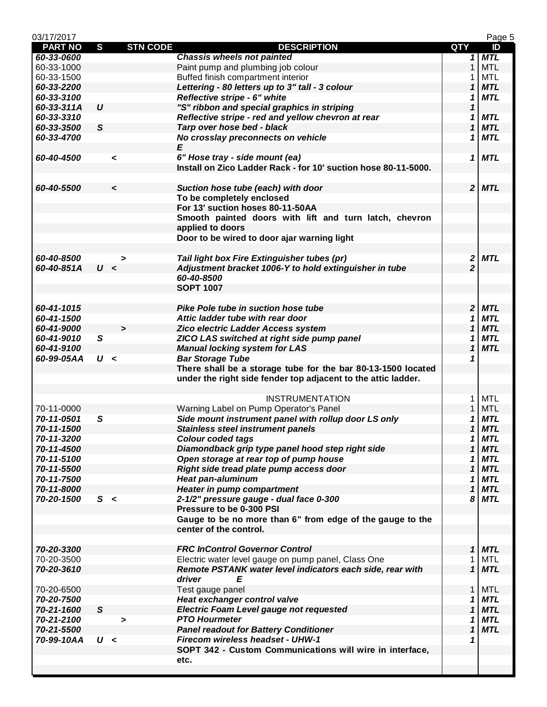| 03/17/2017     |                  |                       |                                                                |                | Page 5     |
|----------------|------------------|-----------------------|----------------------------------------------------------------|----------------|------------|
| <b>PART NO</b> | S                | <b>STN CODE</b>       | <b>DESCRIPTION</b>                                             | QTY            | ID         |
| 60-33-0600     |                  |                       | <b>Chassis wheels not painted</b>                              | 1              | <b>MTL</b> |
| 60-33-1000     |                  |                       | Paint pump and plumbing job colour                             | $\mathbf{1}$   | <b>MTL</b> |
| 60-33-1500     |                  |                       | Buffed finish compartment interior                             | 1              | <b>MTL</b> |
| 60-33-2200     |                  |                       | Lettering - 80 letters up to 3" tall - 3 colour                | 1              | <b>MTL</b> |
| 60-33-3100     |                  |                       | Reflective stripe - 6" white                                   | 1              | <b>MTL</b> |
| 60-33-311A     | $\boldsymbol{U}$ |                       | "S" ribbon and special graphics in striping                    | 1              |            |
| 60-33-3310     |                  |                       | Reflective stripe - red and yellow chevron at rear             | 1              | <b>MTL</b> |
| 60-33-3500     | S                |                       | Tarp over hose bed - black                                     | 1              | <b>MTL</b> |
| 60-33-4700     |                  |                       | No crosslay preconnects on vehicle                             | 1              | <b>MTL</b> |
|                |                  |                       | E                                                              |                |            |
| 60-40-4500     |                  | $\checkmark$          | 6" Hose tray - side mount (ea)                                 | 1              | <b>MTL</b> |
|                |                  |                       | Install on Zico Ladder Rack - for 10' suction hose 80-11-5000. |                |            |
|                |                  |                       |                                                                |                |            |
| 60-40-5500     |                  | $\checkmark$          | Suction hose tube (each) with door                             |                | $2$ MTL    |
|                |                  |                       | To be completely enclosed                                      |                |            |
|                |                  |                       | For 13' suction hoses 80-11-50AA                               |                |            |
|                |                  |                       | Smooth painted doors with lift and turn latch, chevron         |                |            |
|                |                  |                       | applied to doors                                               |                |            |
|                |                  |                       | Door to be wired to door ajar warning light                    |                |            |
|                |                  |                       |                                                                |                |            |
|                |                  |                       |                                                                |                |            |
| 60-40-8500     |                  | >                     | Tail light box Fire Extinguisher tubes (pr)                    | 2              | <b>MTL</b> |
| 60-40-851A     | U <              |                       | Adjustment bracket 1006-Y to hold extinguisher in tube         | $\overline{2}$ |            |
|                |                  |                       | 60-40-8500                                                     |                |            |
|                |                  |                       | <b>SOPT 1007</b>                                               |                |            |
|                |                  |                       |                                                                |                |            |
| 60-41-1015     |                  |                       | Pike Pole tube in suction hose tube                            | $\overline{2}$ | <b>MTL</b> |
| 60-41-1500     |                  |                       | Attic ladder tube with rear door                               | 1              | <b>MTL</b> |
| 60-41-9000     |                  | $\blacktriangleright$ | Zico electric Ladder Access system                             | 1              | <b>MTL</b> |
| 60-41-9010     | S                |                       | ZICO LAS switched at right side pump panel                     | 1              | <b>MTL</b> |
| 60-41-9100     |                  |                       | <b>Manual locking system for LAS</b>                           | 1              | <b>MTL</b> |
| 60-99-05AA     | U <              |                       | <b>Bar Storage Tube</b>                                        | 1              |            |
|                |                  |                       | There shall be a storage tube for the bar 80-13-1500 located   |                |            |
|                |                  |                       | under the right side fender top adjacent to the attic ladder.  |                |            |
|                |                  |                       |                                                                |                |            |
|                |                  |                       | <b>INSTRUMENTATION</b>                                         | 1              | <b>MTL</b> |
| 70-11-0000     |                  |                       | Warning Label on Pump Operator's Panel                         | 1              | <b>MTL</b> |
| 70-11-0501     | S                |                       | Side mount instrument panel with rollup door LS only           | 1              | <b>MTL</b> |
| 70-11-1500     |                  |                       | <b>Stainless steel instrument panels</b>                       | 1              | <b>MTL</b> |
| 70-11-3200     |                  |                       | <b>Colour coded tags</b>                                       | 1              | <b>MTL</b> |
| 70-11-4500     |                  |                       | Diamondback grip type panel hood step right side               | 1              | <b>MTL</b> |
| 70-11-5100     |                  |                       | Open storage at rear top of pump house                         | 1              | <b>MTL</b> |
| 70-11-5500     |                  |                       | Right side tread plate pump access door                        | 1              | <b>MTL</b> |
| 70-11-7500     |                  |                       | <b>Heat pan-aluminum</b>                                       | 1              | <b>MTL</b> |
| 70-11-8000     |                  |                       | <b>Heater in pump compartment</b>                              | 1              | <b>MTL</b> |
| 70-20-1500     | S <              |                       | 2-1/2" pressure gauge - dual face 0-300                        | 8              | <b>MTL</b> |
|                |                  |                       | Pressure to be 0-300 PSI                                       |                |            |
|                |                  |                       | Gauge to be no more than 6" from edge of the gauge to the      |                |            |
|                |                  |                       | center of the control.                                         |                |            |
|                |                  |                       |                                                                |                |            |
|                |                  |                       |                                                                |                |            |
| 70-20-3300     |                  |                       | <b>FRC InControl Governor Control</b>                          | $\mathbf{1}$   | <b>MTL</b> |
| 70-20-3500     |                  |                       | Electric water level gauge on pump panel, Class One            | 1              | MTL        |
| 70-20-3610     |                  |                       | Remote PSTANK water level indicators each side, rear with      | $\mathbf 1$    | <b>MTL</b> |
|                |                  |                       | driver<br>E                                                    |                |            |
| 70-20-6500     |                  |                       | Test gauge panel                                               | $\mathbf{1}$   | <b>MTL</b> |
| 70-20-7500     |                  |                       | Heat exchanger control valve                                   | 1              | <b>MTL</b> |
| 70-21-1600     | $\mathsf{s}$     |                       | <b>Electric Foam Level gauge not requested</b>                 | 1              | <b>MTL</b> |
| 70-21-2100     |                  | >                     | <b>PTO Hourmeter</b>                                           | 1              | <b>MTL</b> |
| 70-21-5500     |                  |                       | <b>Panel readout for Battery Conditioner</b>                   | 1              | <b>MTL</b> |
| 70-99-10AA     | U <              |                       | Firecom wireless headset - UHW-1                               |                |            |
|                |                  |                       | SOPT 342 - Custom Communications will wire in interface,       |                |            |
|                |                  |                       | etc.                                                           |                |            |
|                |                  |                       |                                                                |                |            |